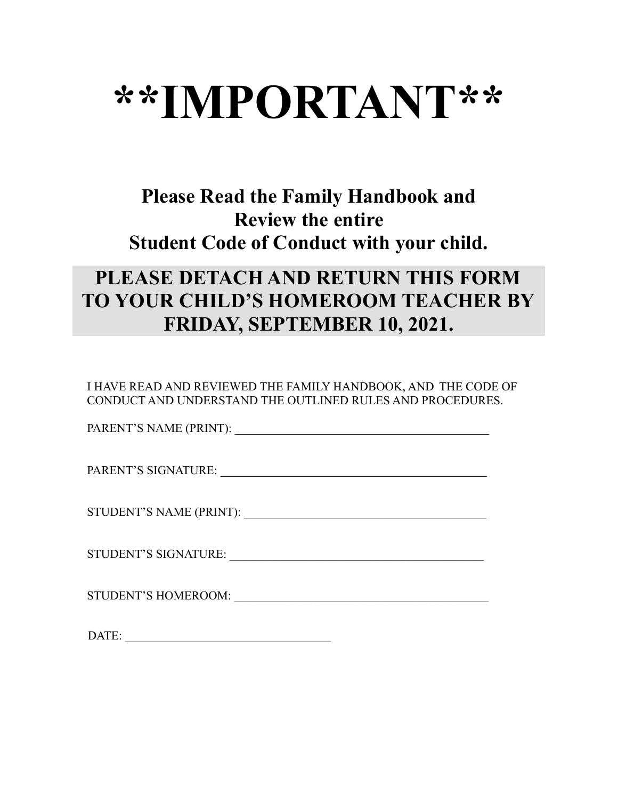# **\*\*IMPORTANT\*\***

### **Please Read the Family Handbook and Review the entire Student Code of Conduct with your child.**

### **PLEASE DETACH AND RETURN THIS FORM TO YOUR CHILD'S HOMEROOM TEACHER BY FRIDAY, SEPTEMBER 10, 2021.**

I HAVE READ AND REVIEWED THE FAMILY HANDBOOK, AND THE CODE OF CONDUCT AND UNDERSTAND THE OUTLINED RULES AND PROCEDURES.

PARENT'S NAME (PRINT): \_\_\_\_\_\_\_\_\_\_\_\_\_\_\_\_\_\_\_\_\_\_\_\_\_\_\_\_\_\_\_\_\_\_\_\_\_\_\_\_\_\_

PARENT'S SIGNATURE: \_\_\_\_\_\_\_\_\_\_\_\_\_\_\_\_\_\_\_\_\_\_\_\_\_\_\_\_\_\_\_\_\_\_\_\_\_\_\_\_\_\_\_\_

STUDENT'S NAME (PRINT):

STUDENT'S SIGNATURE: \_\_\_\_\_\_\_\_\_\_\_\_\_\_\_\_\_\_\_\_\_\_\_\_\_\_\_\_\_\_\_\_\_\_\_\_\_\_\_\_\_\_

STUDENT'S HOMEROOM: \_\_\_\_\_\_\_\_\_\_\_\_\_\_\_\_\_\_\_\_\_\_\_\_\_\_\_\_\_\_\_\_\_\_\_\_\_\_\_\_\_\_

DATE: \_\_\_\_\_\_\_\_\_\_\_\_\_\_\_\_\_\_\_\_\_\_\_\_\_\_\_\_\_\_\_\_\_\_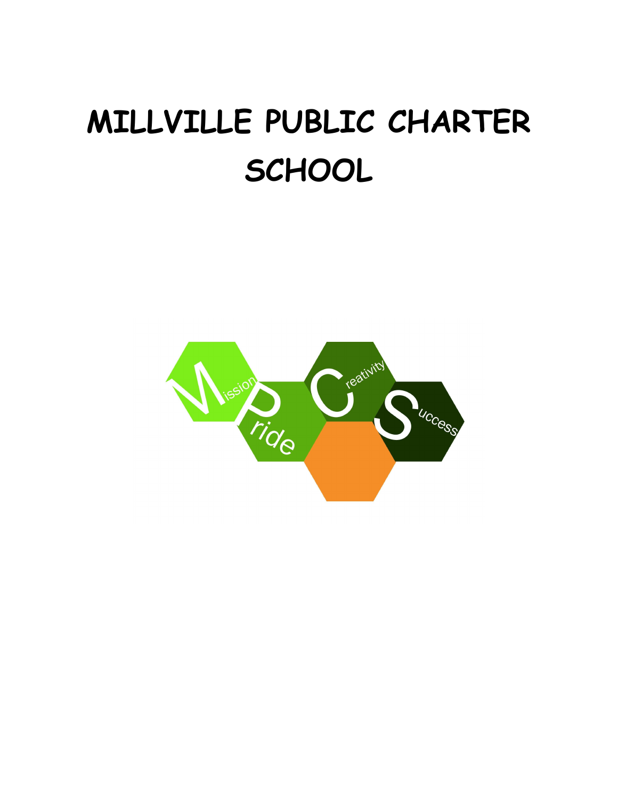## **MILLVILLE PUBLIC CHARTER SCHOOL**

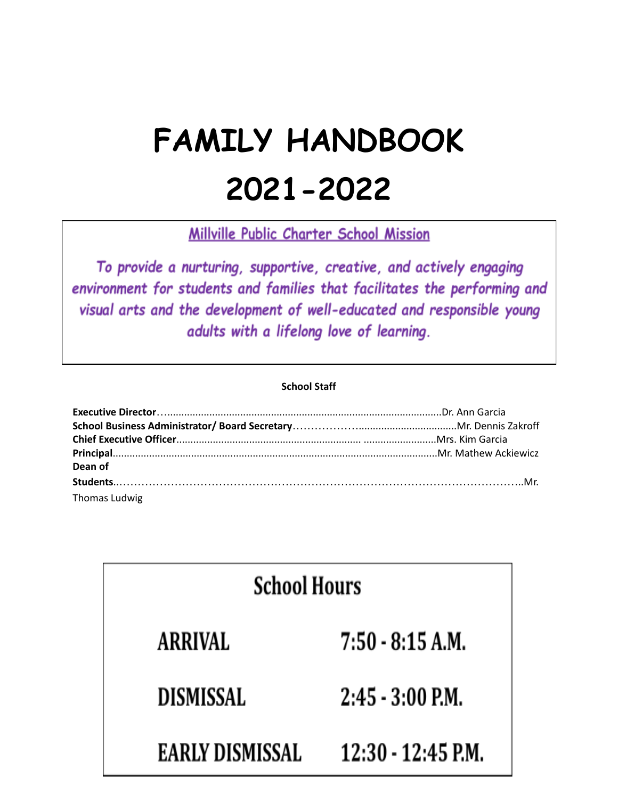## **FAMILY HANDBOOK 2021-2022**

Millville Public Charter School Mission

To provide a nurturing, supportive, creative, and actively engaging environment for students and families that facilitates the performing and visual arts and the development of well-educated and responsible young adults with a lifelong love of learning.

#### **School Staff**

| Dean of       |  |
|---------------|--|
|               |  |
| Thomas Ludwig |  |

| <b>School Hours</b> |                      |  |
|---------------------|----------------------|--|
| <b>ARRIVAL</b>      | $7:50 - 8:15 A.M.$   |  |
| <b>DISMISSAL</b>    | $2:45 - 3:00$ P.M.   |  |
| EARLY DISMISSAL     | $12:30 - 12:45$ P.M. |  |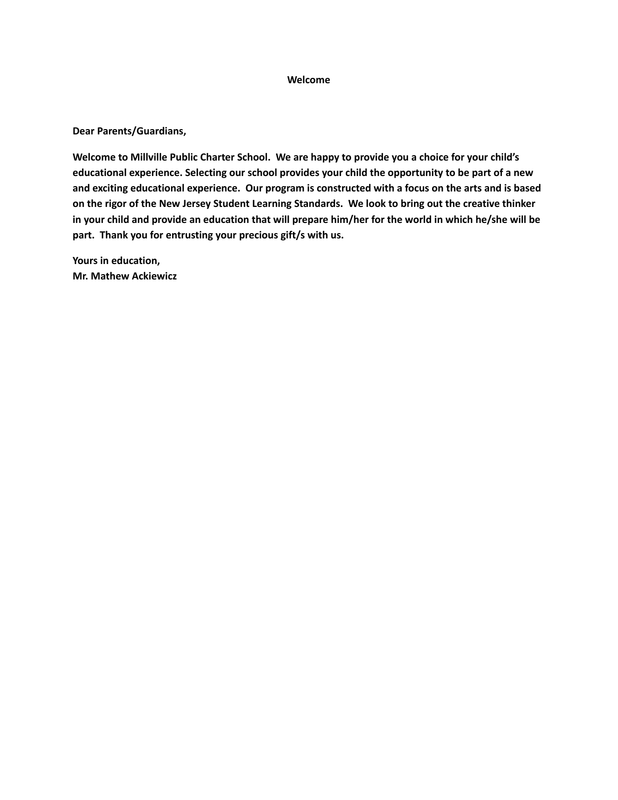#### **Welcome**

**Dear Parents/Guardians,**

**Welcome to Millville Public Charter School. We are happy to provide you a choice for your child's educational experience. Selecting our school provides your child the opportunity to be part of a new and exciting educational experience. Our program is constructed with a focus on the arts and is based** on the rigor of the New Jersey Student Learning Standards. We look to bring out the creative thinker in your child and provide an education that will prepare him/her for the world in which he/she will be **part. Thank you for entrusting your precious gift/s with us.**

**Yours in education, Mr. Mathew Ackiewicz**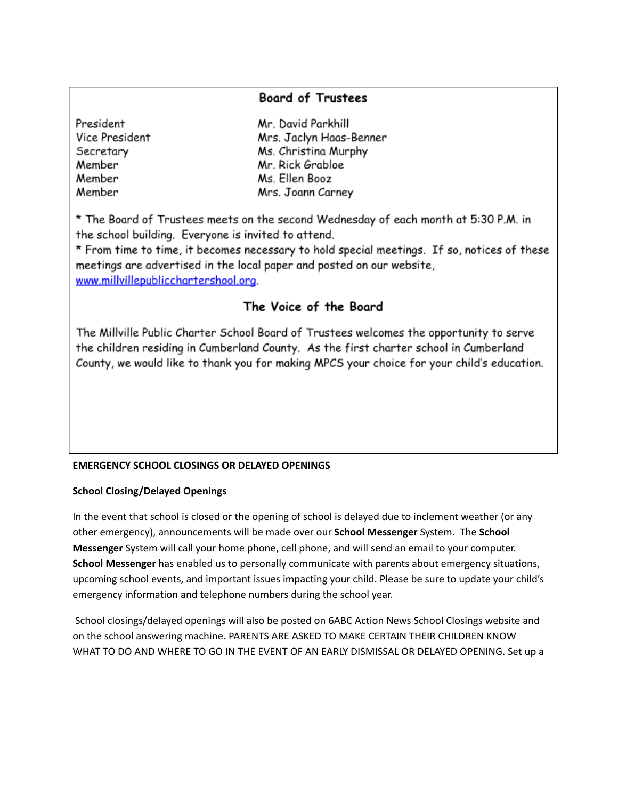#### **Board of Trustees**

| President      | Mr. David Parkhill      |
|----------------|-------------------------|
| Vice President | Mrs. Jaclyn Haas-Benner |
| Secretary      | Ms. Christina Murphy    |
| Member         | Mr. Rick Grabloe        |
| Member         | Ms. Ellen Booz          |
| Member         | Mrs. Joann Carney       |

\* The Board of Trustees meets on the second Wednesday of each month at 5:30 P.M. in the school building. Everyone is invited to attend.

\* From time to time, it becomes necessary to hold special meetings. If so, notices of these meetings are advertised in the local paper and posted on our website, www.millvillepublicchartershool.org.

### The Voice of the Board

The Millville Public Charter School Board of Trustees welcomes the opportunity to serve the children residing in Cumberland County. As the first charter school in Cumberland County, we would like to thank you for making MPCS your choice for your child's education.

#### **EMERGENCY SCHOOL CLOSINGS OR DELAYED OPENINGS**

#### **School Closing/Delayed Openings**

In the event that school is closed or the opening of school is delayed due to inclement weather (or any other emergency), announcements will be made over our **School Messenger** System. The **School Messenger** System will call your home phone, cell phone, and will send an email to your computer. **School Messenger** has enabled us to personally communicate with parents about emergency situations, upcoming school events, and important issues impacting your child. Please be sure to update your child's emergency information and telephone numbers during the school year.

School closings/delayed openings will also be posted on 6ABC Action News School Closings website and on the school answering machine. PARENTS ARE ASKED TO MAKE CERTAIN THEIR CHILDREN KNOW WHAT TO DO AND WHERE TO GO IN THE EVENT OF AN EARLY DISMISSAL OR DELAYED OPENING. Set up a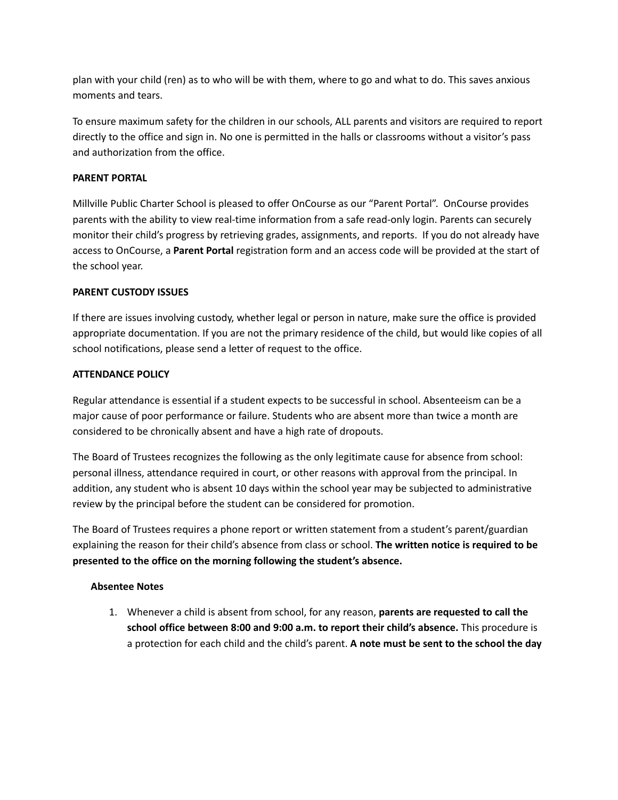plan with your child (ren) as to who will be with them, where to go and what to do. This saves anxious moments and tears.

To ensure maximum safety for the children in our schools, ALL parents and visitors are required to report directly to the office and sign in. No one is permitted in the halls or classrooms without a visitor's pass and authorization from the office.

#### **PARENT PORTAL**

Millville Public Charter School is pleased to offer OnCourse as our "Parent Portal". OnCourse provides parents with the ability to view real-time information from a safe read-only login. Parents can securely monitor their child's progress by retrieving grades, assignments, and reports. If you do not already have access to OnCourse, a **Parent Portal** registration form and an access code will be provided at the start of the school year.

#### **PARENT CUSTODY ISSUES**

If there are issues involving custody, whether legal or person in nature, make sure the office is provided appropriate documentation. If you are not the primary residence of the child, but would like copies of all school notifications, please send a letter of request to the office.

#### **ATTENDANCE POLICY**

Regular attendance is essential if a student expects to be successful in school. Absenteeism can be a major cause of poor performance or failure. Students who are absent more than twice a month are considered to be chronically absent and have a high rate of dropouts.

The Board of Trustees recognizes the following as the only legitimate cause for absence from school: personal illness, attendance required in court, or other reasons with approval from the principal. In addition, any student who is absent 10 days within the school year may be subjected to administrative review by the principal before the student can be considered for promotion.

The Board of Trustees requires a phone report or written statement from a student's parent/guardian explaining the reason for their child's absence from class or school. **The written notice is required to be presented to the office on the morning following the student's absence.**

#### **Absentee Notes**

1. Whenever a child is absent from school, for any reason, **parents are requested to call the school office between 8:00 and 9:00 a.m. to report their child's absence.** This procedure is a protection for each child and the child's parent. **A note must be sent to the school the day**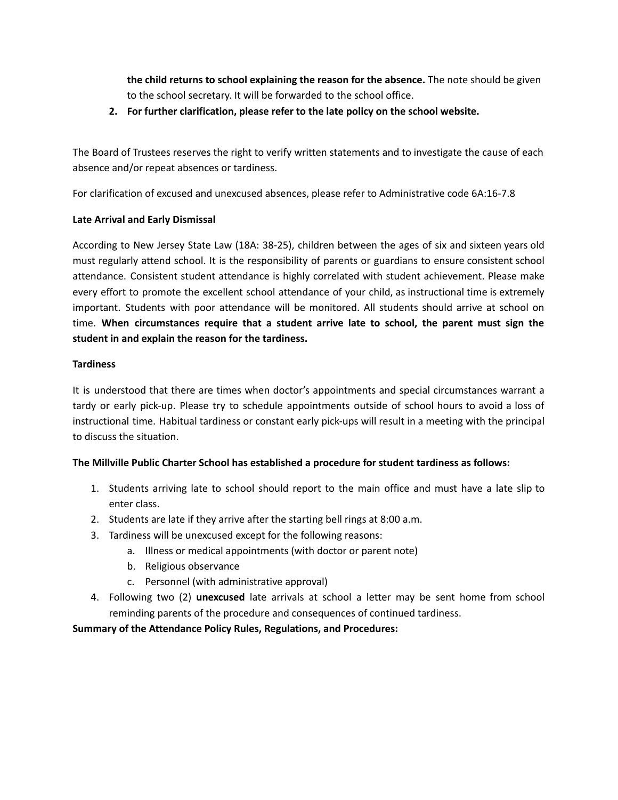**the child returns to school explaining the reason for the absence.** The note should be given to the school secretary. It will be forwarded to the school office.

**2. For further clarification, please refer to the late policy on the school website.**

The Board of Trustees reserves the right to verify written statements and to investigate the cause of each absence and/or repeat absences or tardiness.

For clarification of excused and unexcused absences, please refer to Administrative code 6A:16-7.8

#### **Late Arrival and Early Dismissal**

According to New Jersey State Law (18A: 38-25), children between the ages of six and sixteen years old must regularly attend school. It is the responsibility of parents or guardians to ensure consistent school attendance. Consistent student attendance is highly correlated with student achievement. Please make every effort to promote the excellent school attendance of your child, as instructional time is extremely important. Students with poor attendance will be monitored. All students should arrive at school on time. **When circumstances require that a student arrive late to school, the parent must sign the student in and explain the reason for the tardiness.**

#### **Tardiness**

It is understood that there are times when doctor's appointments and special circumstances warrant a tardy or early pick-up. Please try to schedule appointments outside of school hours to avoid a loss of instructional time. Habitual tardiness or constant early pick-ups will result in a meeting with the principal to discuss the situation.

#### **The Millville Public Charter School has established a procedure for student tardiness as follows:**

- 1. Students arriving late to school should report to the main office and must have a late slip to enter class.
- 2. Students are late if they arrive after the starting bell rings at 8:00 a.m.
- 3. Tardiness will be unexcused except for the following reasons:
	- a. Illness or medical appointments (with doctor or parent note)
	- b. Religious observance
	- c. Personnel (with administrative approval)
- 4. Following two (2) **unexcused** late arrivals at school a letter may be sent home from school reminding parents of the procedure and consequences of continued tardiness.

#### **Summary of the Attendance Policy Rules, Regulations, and Procedures:**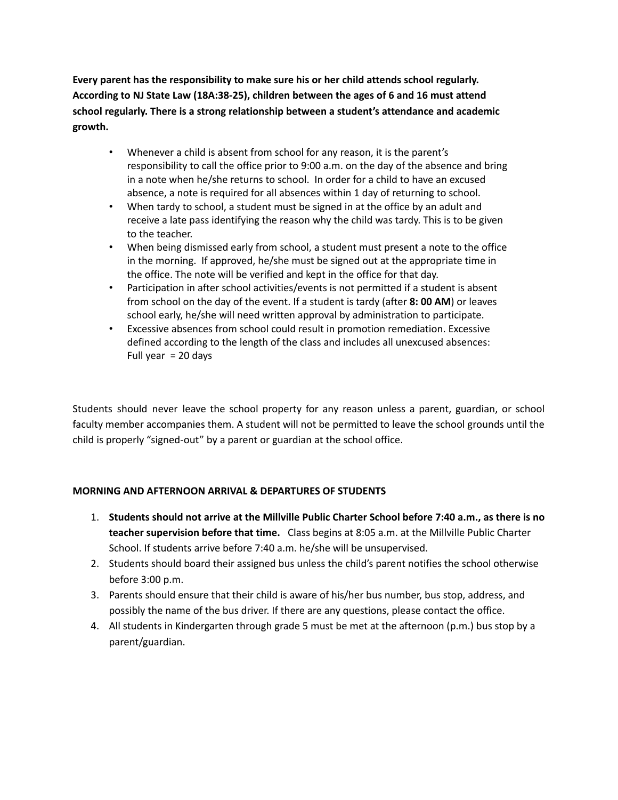**Every parent has the responsibility to make sure his or her child attends school regularly. According to NJ State Law (18A:38-25), children between the ages of 6 and 16 must attend school regularly. There is a strong relationship between a student's attendance and academic growth.**

- Whenever a child is absent from school for any reason, it is the parent's responsibility to call the office prior to 9:00 a.m. on the day of the absence and bring in a note when he/she returns to school. In order for a child to have an excused absence, a note is required for all absences within 1 day of returning to school.
- When tardy to school, a student must be signed in at the office by an adult and receive a late pass identifying the reason why the child was tardy. This is to be given to the teacher.
- When being dismissed early from school, a student must present a note to the office in the morning. If approved, he/she must be signed out at the appropriate time in the office. The note will be verified and kept in the office for that day.
- Participation in after school activities/events is not permitted if a student is absent from school on the day of the event. If a student is tardy (after **8: 00 AM**) or leaves school early, he/she will need written approval by administration to participate.
- Excessive absences from school could result in promotion remediation. Excessive defined according to the length of the class and includes all unexcused absences: Full year  $= 20$  days

Students should never leave the school property for any reason unless a parent, guardian, or school faculty member accompanies them. A student will not be permitted to leave the school grounds until the child is properly "signed-out" by a parent or guardian at the school office.

#### **MORNING AND AFTERNOON ARRIVAL & DEPARTURES OF STUDENTS**

- 1. **Students should not arrive at the Millville Public Charter School before 7:40 a.m., as there is no teacher supervision before that time.** Class begins at 8:05 a.m. at the Millville Public Charter School. If students arrive before 7:40 a.m. he/she will be unsupervised.
- 2. Students should board their assigned bus unless the child's parent notifies the school otherwise before 3:00 p.m.
- 3. Parents should ensure that their child is aware of his/her bus number, bus stop, address, and possibly the name of the bus driver. If there are any questions, please contact the office.
- 4. All students in Kindergarten through grade 5 must be met at the afternoon (p.m.) bus stop by a parent/guardian.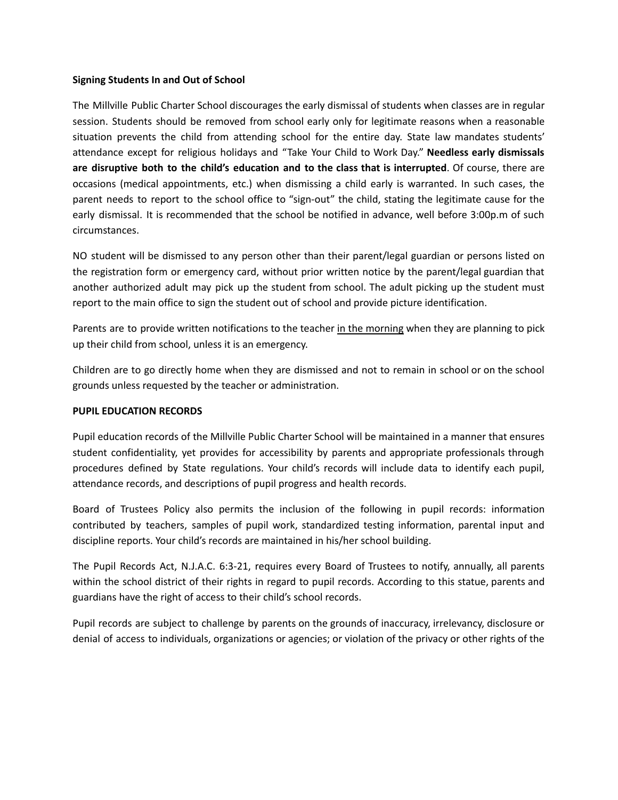#### **Signing Students In and Out of School**

The Millville Public Charter School discourages the early dismissal of students when classes are in regular session. Students should be removed from school early only for legitimate reasons when a reasonable situation prevents the child from attending school for the entire day. State law mandates students' attendance except for religious holidays and "Take Your Child to Work Day." **Needless early dismissals are disruptive both to the child's education and to the class that is interrupted**. Of course, there are occasions (medical appointments, etc.) when dismissing a child early is warranted. In such cases, the parent needs to report to the school office to "sign-out" the child, stating the legitimate cause for the early dismissal. It is recommended that the school be notified in advance, well before 3:00p.m of such circumstances.

NO student will be dismissed to any person other than their parent/legal guardian or persons listed on the registration form or emergency card, without prior written notice by the parent/legal guardian that another authorized adult may pick up the student from school. The adult picking up the student must report to the main office to sign the student out of school and provide picture identification.

Parents are to provide written notifications to the teacher in the morning when they are planning to pick up their child from school, unless it is an emergency.

Children are to go directly home when they are dismissed and not to remain in school or on the school grounds unless requested by the teacher or administration.

#### **PUPIL EDUCATION RECORDS**

Pupil education records of the Millville Public Charter School will be maintained in a manner that ensures student confidentiality, yet provides for accessibility by parents and appropriate professionals through procedures defined by State regulations. Your child's records will include data to identify each pupil, attendance records, and descriptions of pupil progress and health records.

Board of Trustees Policy also permits the inclusion of the following in pupil records: information contributed by teachers, samples of pupil work, standardized testing information, parental input and discipline reports. Your child's records are maintained in his/her school building.

The Pupil Records Act, N.J.A.C. 6:3-21, requires every Board of Trustees to notify, annually, all parents within the school district of their rights in regard to pupil records. According to this statue, parents and guardians have the right of access to their child's school records.

Pupil records are subject to challenge by parents on the grounds of inaccuracy, irrelevancy, disclosure or denial of access to individuals, organizations or agencies; or violation of the privacy or other rights of the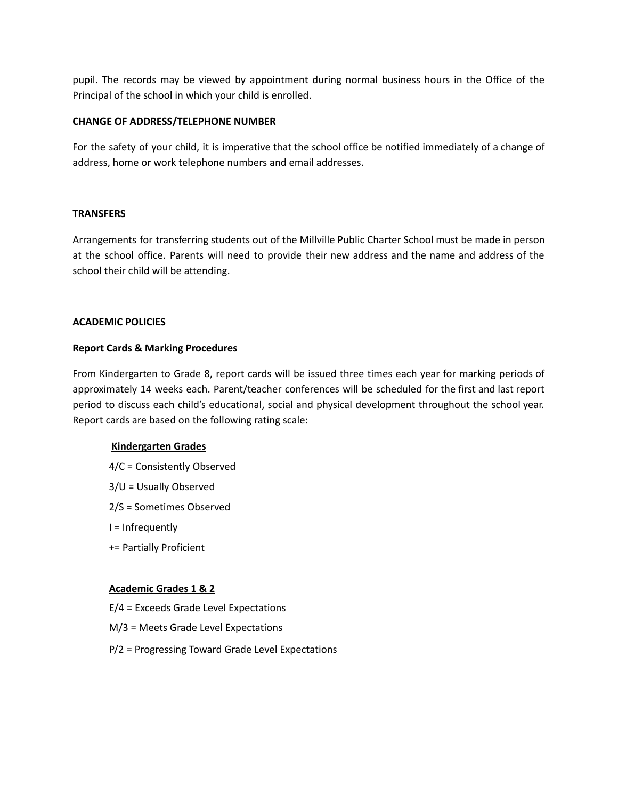pupil. The records may be viewed by appointment during normal business hours in the Office of the Principal of the school in which your child is enrolled.

#### **CHANGE OF ADDRESS/TELEPHONE NUMBER**

For the safety of your child, it is imperative that the school office be notified immediately of a change of address, home or work telephone numbers and email addresses.

#### **TRANSFERS**

Arrangements for transferring students out of the Millville Public Charter School must be made in person at the school office. Parents will need to provide their new address and the name and address of the school their child will be attending.

#### **ACADEMIC POLICIES**

#### **Report Cards & Marking Procedures**

From Kindergarten to Grade 8, report cards will be issued three times each year for marking periods of approximately 14 weeks each. Parent/teacher conferences will be scheduled for the first and last report period to discuss each child's educational, social and physical development throughout the school year. Report cards are based on the following rating scale:

#### **Kindergarten Grades**

- 4/C = Consistently Observed
- 3/U = Usually Observed
- 2/S = Sometimes Observed
- I = Infrequently
- += Partially Proficient

#### **Academic Grades 1 & 2**

- E/4 = Exceeds Grade Level Expectations
- M/3 = Meets Grade Level Expectations
- P/2 = Progressing Toward Grade Level Expectations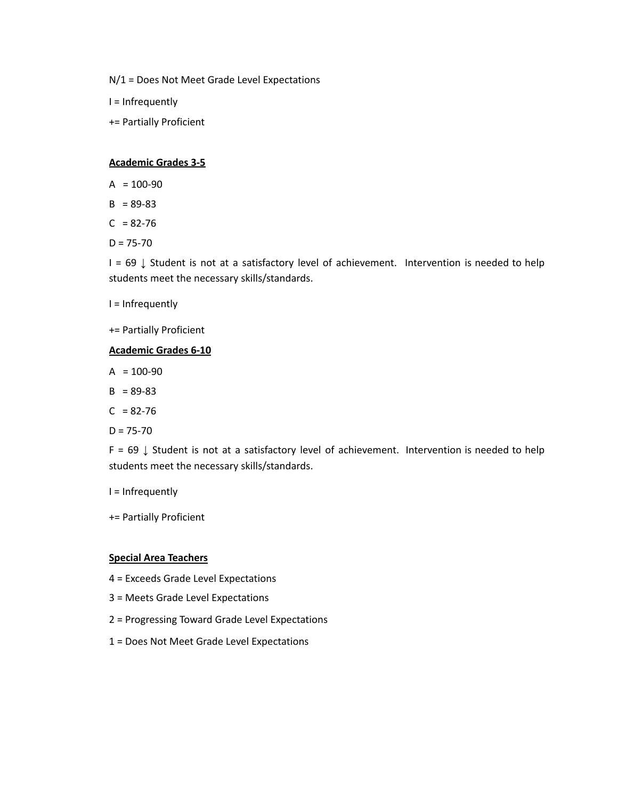N/1 = Does Not Meet Grade Level Expectations

I = Infrequently

+= Partially Proficient

#### **Academic Grades 3-5**

- $A = 100-90$
- $B = 89 83$
- $C = 82 76$
- $D = 75 70$

I = 69 ↓ Student is not at a satisfactory level of achievement. Intervention is needed to help students meet the necessary skills/standards.

I = Infrequently

+= Partially Proficient

#### **Academic Grades 6-10**

- $A = 100-90$
- $B = 89-83$
- $C = 82 76$
- $D = 75 70$

F = 69 ↓ Student is not at a satisfactory level of achievement. Intervention is needed to help students meet the necessary skills/standards.

- I = Infrequently
- += Partially Proficient

#### **Special Area Teachers**

- 4 = Exceeds Grade Level Expectations
- 3 = Meets Grade Level Expectations
- 2 = Progressing Toward Grade Level Expectations
- 1 = Does Not Meet Grade Level Expectations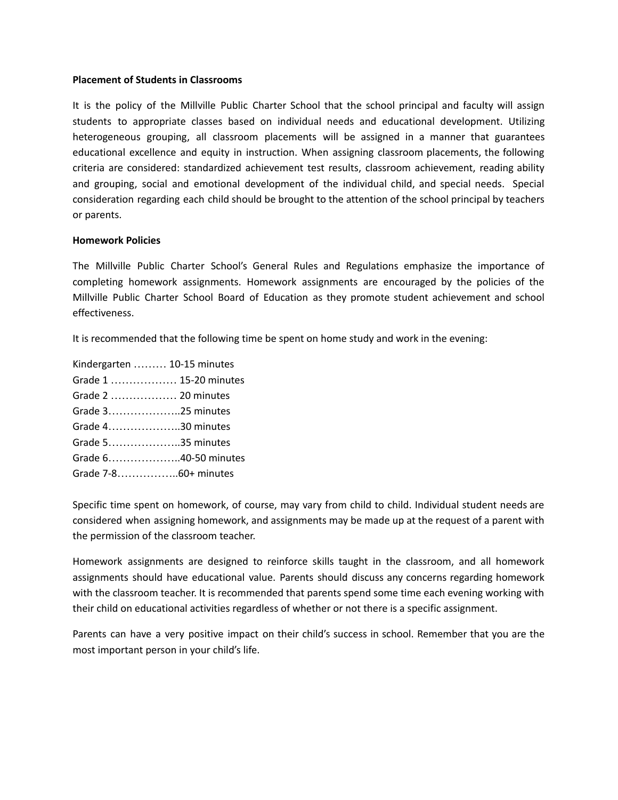#### **Placement of Students in Classrooms**

It is the policy of the Millville Public Charter School that the school principal and faculty will assign students to appropriate classes based on individual needs and educational development. Utilizing heterogeneous grouping, all classroom placements will be assigned in a manner that guarantees educational excellence and equity in instruction. When assigning classroom placements, the following criteria are considered: standardized achievement test results, classroom achievement, reading ability and grouping, social and emotional development of the individual child, and special needs. Special consideration regarding each child should be brought to the attention of the school principal by teachers or parents.

#### **Homework Policies**

The Millville Public Charter School's General Rules and Regulations emphasize the importance of completing homework assignments. Homework assignments are encouraged by the policies of the Millville Public Charter School Board of Education as they promote student achievement and school effectiveness.

It is recommended that the following time be spent on home study and work in the evening:

| Kindergarten  10-15 minutes |
|-----------------------------|
| Grade 1  15-20 minutes      |
| Grade 2  20 minutes         |
| Grade 325 minutes           |
| Grade 430 minutes           |
| Grade 535 minutes           |
| Grade 640-50 minutes        |
|                             |

Specific time spent on homework, of course, may vary from child to child. Individual student needs are considered when assigning homework, and assignments may be made up at the request of a parent with the permission of the classroom teacher.

Homework assignments are designed to reinforce skills taught in the classroom, and all homework assignments should have educational value. Parents should discuss any concerns regarding homework with the classroom teacher. It is recommended that parents spend some time each evening working with their child on educational activities regardless of whether or not there is a specific assignment.

Parents can have a very positive impact on their child's success in school. Remember that you are the most important person in your child's life.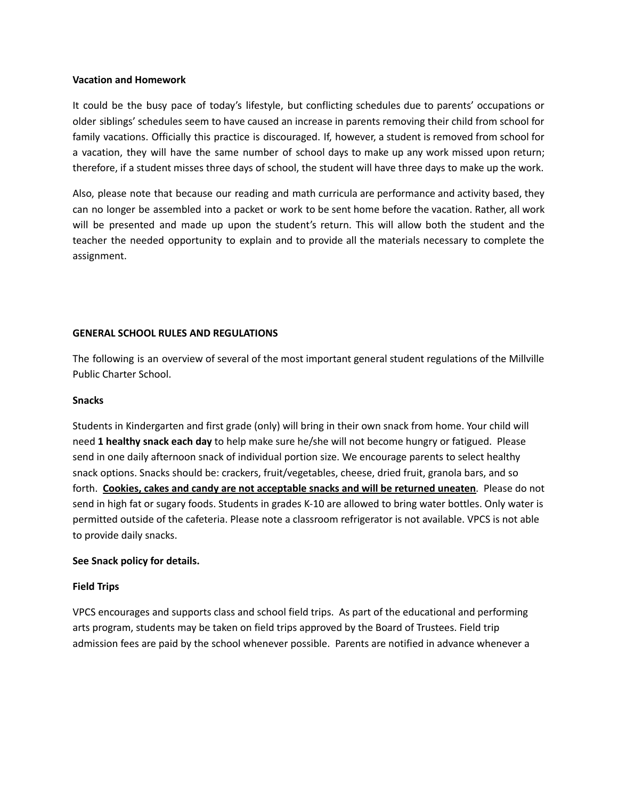#### **Vacation and Homework**

It could be the busy pace of today's lifestyle, but conflicting schedules due to parents' occupations or older siblings' schedules seem to have caused an increase in parents removing their child from school for family vacations. Officially this practice is discouraged. If, however, a student is removed from school for a vacation, they will have the same number of school days to make up any work missed upon return; therefore, if a student misses three days of school, the student will have three days to make up the work.

Also, please note that because our reading and math curricula are performance and activity based, they can no longer be assembled into a packet or work to be sent home before the vacation. Rather, all work will be presented and made up upon the student's return. This will allow both the student and the teacher the needed opportunity to explain and to provide all the materials necessary to complete the assignment.

#### **GENERAL SCHOOL RULES AND REGULATIONS**

The following is an overview of several of the most important general student regulations of the Millville Public Charter School.

#### **Snacks**

Students in Kindergarten and first grade (only) will bring in their own snack from home. Your child will need **1 healthy snack each day** to help make sure he/she will not become hungry or fatigued. Please send in one daily afternoon snack of individual portion size. We encourage parents to select healthy snack options. Snacks should be: crackers, fruit/vegetables, cheese, dried fruit, granola bars, and so forth. **Cookies, cakes and candy are not acceptable snacks and will be returned uneaten**. Please do not send in high fat or sugary foods. Students in grades K-10 are allowed to bring water bottles. Only water is permitted outside of the cafeteria. Please note a classroom refrigerator is not available. VPCS is not able to provide daily snacks.

#### **See Snack policy for details.**

#### **Field Trips**

VPCS encourages and supports class and school field trips. As part of the educational and performing arts program, students may be taken on field trips approved by the Board of Trustees. Field trip admission fees are paid by the school whenever possible. Parents are notified in advance whenever a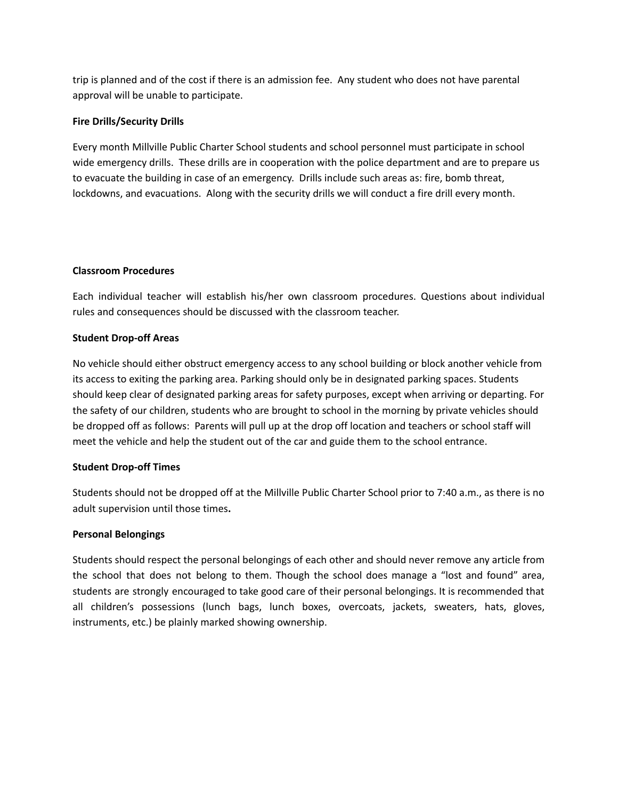trip is planned and of the cost if there is an admission fee. Any student who does not have parental approval will be unable to participate.

#### **Fire Drills/Security Drills**

Every month Millville Public Charter School students and school personnel must participate in school wide emergency drills. These drills are in cooperation with the police department and are to prepare us to evacuate the building in case of an emergency. Drills include such areas as: fire, bomb threat, lockdowns, and evacuations. Along with the security drills we will conduct a fire drill every month.

#### **Classroom Procedures**

Each individual teacher will establish his/her own classroom procedures. Questions about individual rules and consequences should be discussed with the classroom teacher.

#### **Student Drop-off Areas**

No vehicle should either obstruct emergency access to any school building or block another vehicle from its access to exiting the parking area. Parking should only be in designated parking spaces. Students should keep clear of designated parking areas for safety purposes, except when arriving or departing. For the safety of our children, students who are brought to school in the morning by private vehicles should be dropped off as follows: Parents will pull up at the drop off location and teachers or school staff will meet the vehicle and help the student out of the car and guide them to the school entrance.

#### **Student Drop-off Times**

Students should not be dropped off at the Millville Public Charter School prior to 7:40 a.m., as there is no adult supervision until those times**.**

#### **Personal Belongings**

Students should respect the personal belongings of each other and should never remove any article from the school that does not belong to them. Though the school does manage a "lost and found" area, students are strongly encouraged to take good care of their personal belongings. It is recommended that all children's possessions (lunch bags, lunch boxes, overcoats, jackets, sweaters, hats, gloves, instruments, etc.) be plainly marked showing ownership.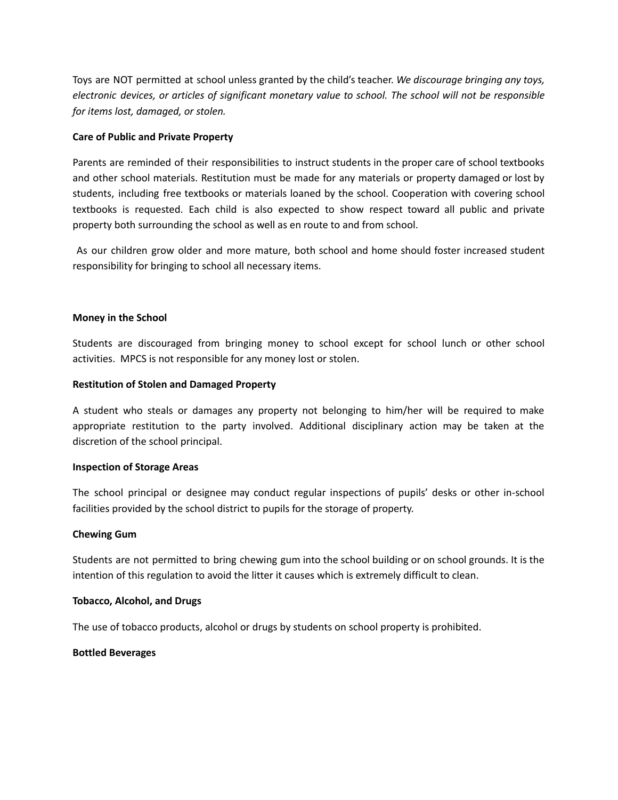Toys are NOT permitted at school unless granted by the child's teacher. *We discourage bringing any toys, electronic devices, or articles of significant monetary value to school. The school will not be responsible for items lost, damaged, or stolen.*

#### **Care of Public and Private Property**

Parents are reminded of their responsibilities to instruct students in the proper care of school textbooks and other school materials. Restitution must be made for any materials or property damaged or lost by students, including free textbooks or materials loaned by the school. Cooperation with covering school textbooks is requested. Each child is also expected to show respect toward all public and private property both surrounding the school as well as en route to and from school.

As our children grow older and more mature, both school and home should foster increased student responsibility for bringing to school all necessary items.

#### **Money in the School**

Students are discouraged from bringing money to school except for school lunch or other school activities. MPCS is not responsible for any money lost or stolen.

#### **Restitution of Stolen and Damaged Property**

A student who steals or damages any property not belonging to him/her will be required to make appropriate restitution to the party involved. Additional disciplinary action may be taken at the discretion of the school principal.

#### **Inspection of Storage Areas**

The school principal or designee may conduct regular inspections of pupils' desks or other in-school facilities provided by the school district to pupils for the storage of property.

#### **Chewing Gum**

Students are not permitted to bring chewing gum into the school building or on school grounds. It is the intention of this regulation to avoid the litter it causes which is extremely difficult to clean.

#### **Tobacco, Alcohol, and Drugs**

The use of tobacco products, alcohol or drugs by students on school property is prohibited.

#### **Bottled Beverages**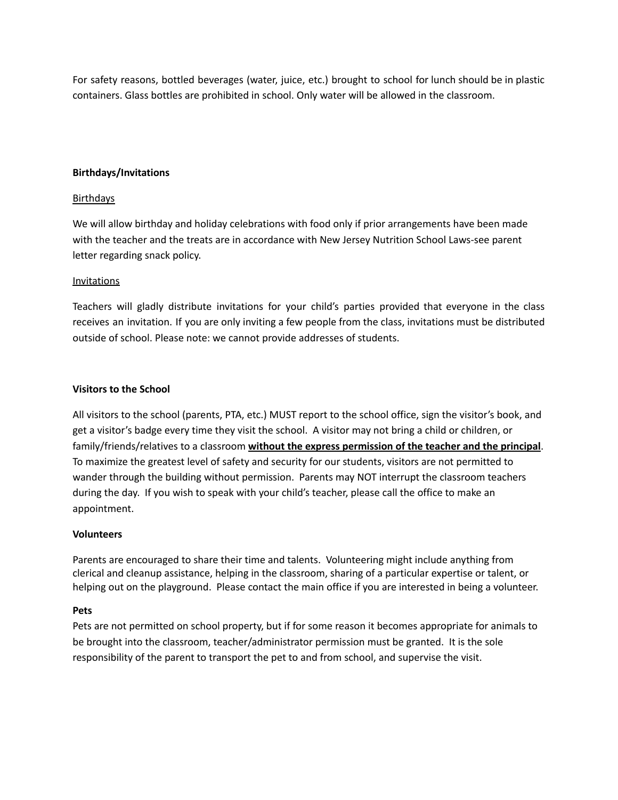For safety reasons, bottled beverages (water, juice, etc.) brought to school for lunch should be in plastic containers. Glass bottles are prohibited in school. Only water will be allowed in the classroom.

#### **Birthdays/Invitations**

#### **Birthdays**

We will allow birthday and holiday celebrations with food only if prior arrangements have been made with the teacher and the treats are in accordance with New Jersey Nutrition School Laws-see parent letter regarding snack policy.

#### Invitations

Teachers will gladly distribute invitations for your child's parties provided that everyone in the class receives an invitation. If you are only inviting a few people from the class, invitations must be distributed outside of school. Please note: we cannot provide addresses of students.

#### **Visitors to the School**

All visitors to the school (parents, PTA, etc.) MUST report to the school office, sign the visitor's book, and get a visitor's badge every time they visit the school. A visitor may not bring a child or children, or family/friends/relatives to a classroom **without the express permission of the teacher and the principal**. To maximize the greatest level of safety and security for our students, visitors are not permitted to wander through the building without permission. Parents may NOT interrupt the classroom teachers during the day. If you wish to speak with your child's teacher, please call the office to make an appointment.

#### **Volunteers**

Parents are encouraged to share their time and talents. Volunteering might include anything from clerical and cleanup assistance, helping in the classroom, sharing of a particular expertise or talent, or helping out on the playground. Please contact the main office if you are interested in being a volunteer.

#### **Pets**

Pets are not permitted on school property, but if for some reason it becomes appropriate for animals to be brought into the classroom, teacher/administrator permission must be granted. It is the sole responsibility of the parent to transport the pet to and from school, and supervise the visit.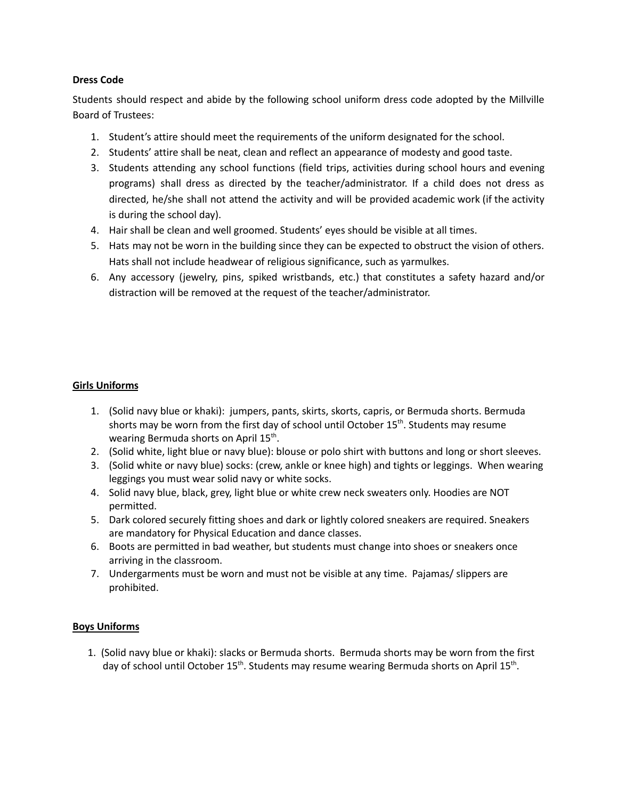#### **Dress Code**

Students should respect and abide by the following school uniform dress code adopted by the Millville Board of Trustees:

- 1. Student's attire should meet the requirements of the uniform designated for the school.
- 2. Students' attire shall be neat, clean and reflect an appearance of modesty and good taste.
- 3. Students attending any school functions (field trips, activities during school hours and evening programs) shall dress as directed by the teacher/administrator. If a child does not dress as directed, he/she shall not attend the activity and will be provided academic work (if the activity is during the school day).
- 4. Hair shall be clean and well groomed. Students' eyes should be visible at all times.
- 5. Hats may not be worn in the building since they can be expected to obstruct the vision of others. Hats shall not include headwear of religious significance, such as yarmulkes.
- 6. Any accessory (jewelry, pins, spiked wristbands, etc.) that constitutes a safety hazard and/or distraction will be removed at the request of the teacher/administrator.

#### **Girls Uniforms**

- 1. (Solid navy blue or khaki): jumpers, pants, skirts, skorts, capris, or Bermuda shorts. Bermuda shorts may be worn from the first day of school until October 15<sup>th</sup>. Students may resume wearing Bermuda shorts on April 15<sup>th</sup>.
- 2. (Solid white, light blue or navy blue): blouse or polo shirt with buttons and long or short sleeves.
- 3. (Solid white or navy blue) socks: (crew, ankle or knee high) and tights or leggings. When wearing leggings you must wear solid navy or white socks.
- 4. Solid navy blue, black, grey, light blue or white crew neck sweaters only. Hoodies are NOT permitted.
- 5. Dark colored securely fitting shoes and dark or lightly colored sneakers are required. Sneakers are mandatory for Physical Education and dance classes.
- 6. Boots are permitted in bad weather, but students must change into shoes or sneakers once arriving in the classroom.
- 7. Undergarments must be worn and must not be visible at any time. Pajamas/ slippers are prohibited.

#### **Boys Uniforms**

1. (Solid navy blue or khaki): slacks or Bermuda shorts. Bermuda shorts may be worn from the first day of school until October 15<sup>th</sup>. Students may resume wearing Bermuda shorts on April 15<sup>th</sup>.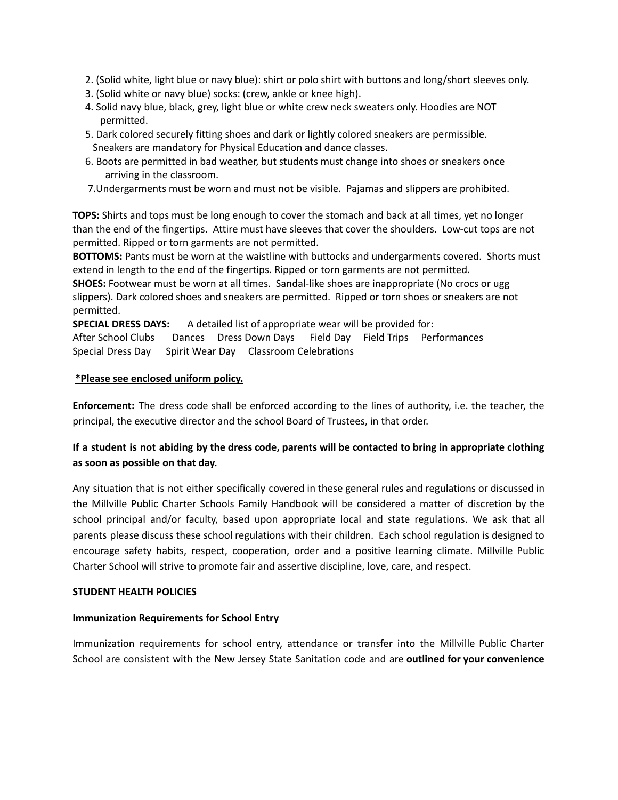- 2. (Solid white, light blue or navy blue): shirt or polo shirt with buttons and long/short sleeves only.
- 3. (Solid white or navy blue) socks: (crew, ankle or knee high).
- 4. Solid navy blue, black, grey, light blue or white crew neck sweaters only. Hoodies are NOT permitted.
- 5. Dark colored securely fitting shoes and dark or lightly colored sneakers are permissible. Sneakers are mandatory for Physical Education and dance classes.
- 6. Boots are permitted in bad weather, but students must change into shoes or sneakers once arriving in the classroom.
- 7.Undergarments must be worn and must not be visible. Pajamas and slippers are prohibited.

**TOPS:** Shirts and tops must be long enough to cover the stomach and back at all times, yet no longer than the end of the fingertips. Attire must have sleeves that cover the shoulders. Low-cut tops are not permitted. Ripped or torn garments are not permitted.

**BOTTOMS:** Pants must be worn at the waistline with buttocks and undergarments covered. Shorts must extend in length to the end of the fingertips. Ripped or torn garments are not permitted.

**SHOES:** Footwear must be worn at all times. Sandal-like shoes are inappropriate (No crocs or ugg slippers). Dark colored shoes and sneakers are permitted. Ripped or torn shoes or sneakers are not permitted.

**SPECIAL DRESS DAYS:** A detailed list of appropriate wear will be provided for:

After School Clubs Dances Dress Down Days Field Day Field Trips Performances Special Dress Day Spirit Wear Day Classroom Celebrations

#### **\*Please see enclosed uniform policy.**

**Enforcement:** The dress code shall be enforced according to the lines of authority, i.e. the teacher, the principal, the executive director and the school Board of Trustees, in that order.

#### If a student is not abiding by the dress code, parents will be contacted to bring in appropriate clothing **as soon as possible on that day.**

Any situation that is not either specifically covered in these general rules and regulations or discussed in the Millville Public Charter Schools Family Handbook will be considered a matter of discretion by the school principal and/or faculty, based upon appropriate local and state regulations. We ask that all parents please discuss these school regulations with their children. Each school regulation is designed to encourage safety habits, respect, cooperation, order and a positive learning climate. Millville Public Charter School will strive to promote fair and assertive discipline, love, care, and respect.

#### **STUDENT HEALTH POLICIES**

#### **Immunization Requirements for School Entry**

Immunization requirements for school entry, attendance or transfer into the Millville Public Charter School are consistent with the New Jersey State Sanitation code and are **outlined for your convenience**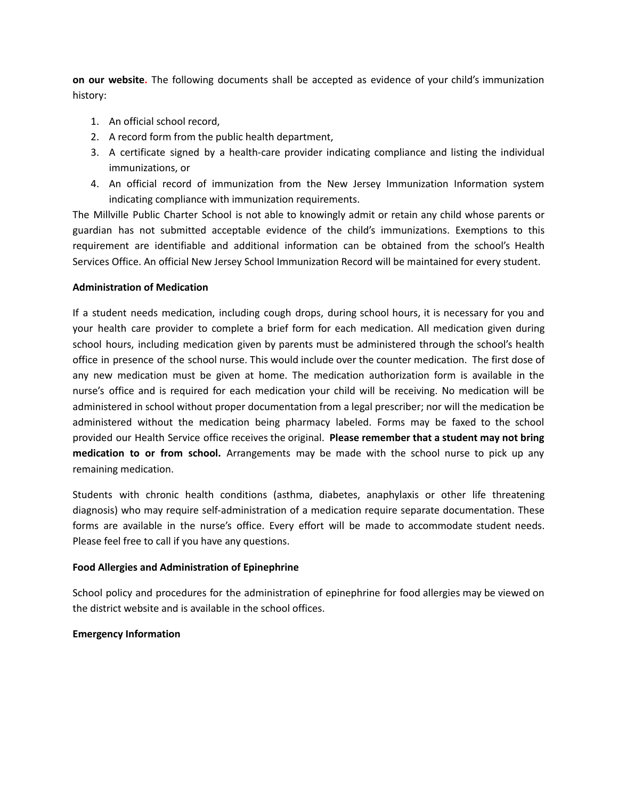**on our website.** The following documents shall be accepted as evidence of your child's immunization history:

- 1. An official school record,
- 2. A record form from the public health department,
- 3. A certificate signed by a health-care provider indicating compliance and listing the individual immunizations, or
- 4. An official record of immunization from the New Jersey Immunization Information system indicating compliance with immunization requirements.

The Millville Public Charter School is not able to knowingly admit or retain any child whose parents or guardian has not submitted acceptable evidence of the child's immunizations. Exemptions to this requirement are identifiable and additional information can be obtained from the school's Health Services Office. An official New Jersey School Immunization Record will be maintained for every student.

#### **Administration of Medication**

If a student needs medication, including cough drops, during school hours, it is necessary for you and your health care provider to complete a brief form for each medication. All medication given during school hours, including medication given by parents must be administered through the school's health office in presence of the school nurse. This would include over the counter medication. The first dose of any new medication must be given at home. The medication authorization form is available in the nurse's office and is required for each medication your child will be receiving. No medication will be administered in school without proper documentation from a legal prescriber; nor will the medication be administered without the medication being pharmacy labeled. Forms may be faxed to the school provided our Health Service office receives the original. **Please remember that a student may not bring medication to or from school.** Arrangements may be made with the school nurse to pick up any remaining medication.

Students with chronic health conditions (asthma, diabetes, anaphylaxis or other life threatening diagnosis) who may require self-administration of a medication require separate documentation. These forms are available in the nurse's office. Every effort will be made to accommodate student needs. Please feel free to call if you have any questions.

#### **Food Allergies and Administration of Epinephrine**

School policy and procedures for the administration of epinephrine for food allergies may be viewed on the district website and is available in the school offices.

#### **Emergency Information**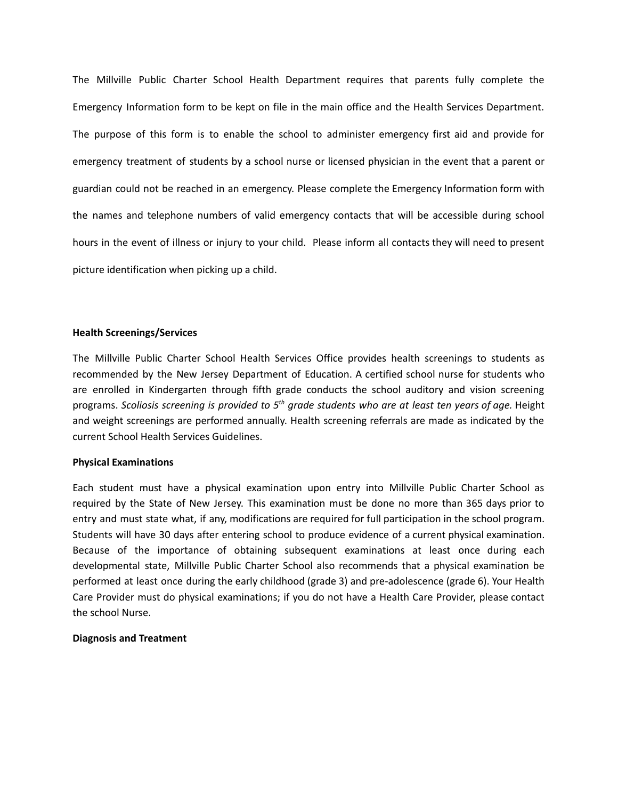The Millville Public Charter School Health Department requires that parents fully complete the Emergency Information form to be kept on file in the main office and the Health Services Department. The purpose of this form is to enable the school to administer emergency first aid and provide for emergency treatment of students by a school nurse or licensed physician in the event that a parent or guardian could not be reached in an emergency. Please complete the Emergency Information form with the names and telephone numbers of valid emergency contacts that will be accessible during school hours in the event of illness or injury to your child. Please inform all contacts they will need to present picture identification when picking up a child.

#### **Health Screenings/Services**

The Millville Public Charter School Health Services Office provides health screenings to students as recommended by the New Jersey Department of Education. A certified school nurse for students who are enrolled in Kindergarten through fifth grade conducts the school auditory and vision screening programs. Scoliosis screening is provided to 5<sup>th</sup> grade students who are at least ten years of age. Height and weight screenings are performed annually. Health screening referrals are made as indicated by the current School Health Services Guidelines.

#### **Physical Examinations**

Each student must have a physical examination upon entry into Millville Public Charter School as required by the State of New Jersey. This examination must be done no more than 365 days prior to entry and must state what, if any, modifications are required for full participation in the school program. Students will have 30 days after entering school to produce evidence of a current physical examination. Because of the importance of obtaining subsequent examinations at least once during each developmental state, Millville Public Charter School also recommends that a physical examination be performed at least once during the early childhood (grade 3) and pre-adolescence (grade 6). Your Health Care Provider must do physical examinations; if you do not have a Health Care Provider, please contact the school Nurse.

#### **Diagnosis and Treatment**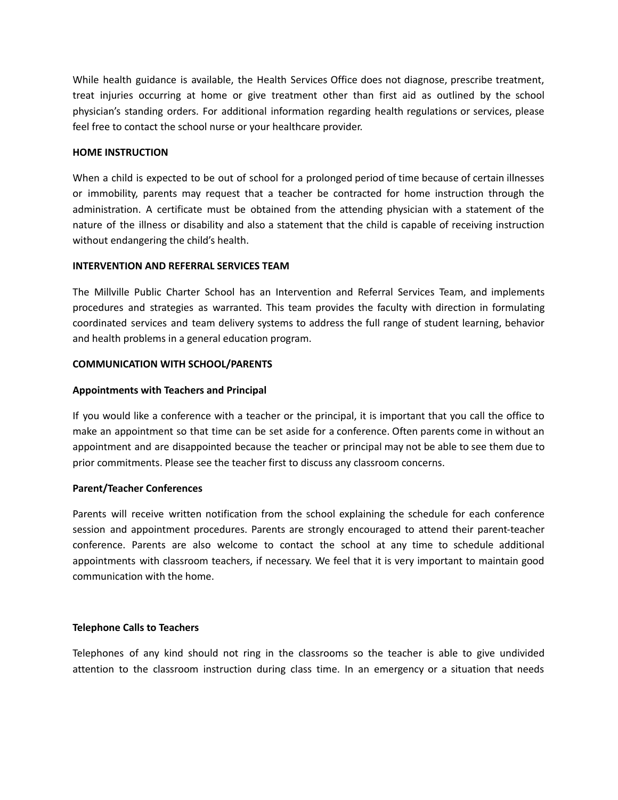While health guidance is available, the Health Services Office does not diagnose, prescribe treatment, treat injuries occurring at home or give treatment other than first aid as outlined by the school physician's standing orders. For additional information regarding health regulations or services, please feel free to contact the school nurse or your healthcare provider.

#### **HOME INSTRUCTION**

When a child is expected to be out of school for a prolonged period of time because of certain illnesses or immobility, parents may request that a teacher be contracted for home instruction through the administration. A certificate must be obtained from the attending physician with a statement of the nature of the illness or disability and also a statement that the child is capable of receiving instruction without endangering the child's health.

#### **INTERVENTION AND REFERRAL SERVICES TEAM**

The Millville Public Charter School has an Intervention and Referral Services Team, and implements procedures and strategies as warranted. This team provides the faculty with direction in formulating coordinated services and team delivery systems to address the full range of student learning, behavior and health problems in a general education program.

#### **COMMUNICATION WITH SCHOOL/PARENTS**

#### **Appointments with Teachers and Principal**

If you would like a conference with a teacher or the principal, it is important that you call the office to make an appointment so that time can be set aside for a conference. Often parents come in without an appointment and are disappointed because the teacher or principal may not be able to see them due to prior commitments. Please see the teacher first to discuss any classroom concerns.

#### **Parent/Teacher Conferences**

Parents will receive written notification from the school explaining the schedule for each conference session and appointment procedures. Parents are strongly encouraged to attend their parent-teacher conference. Parents are also welcome to contact the school at any time to schedule additional appointments with classroom teachers, if necessary. We feel that it is very important to maintain good communication with the home.

#### **Telephone Calls to Teachers**

Telephones of any kind should not ring in the classrooms so the teacher is able to give undivided attention to the classroom instruction during class time. In an emergency or a situation that needs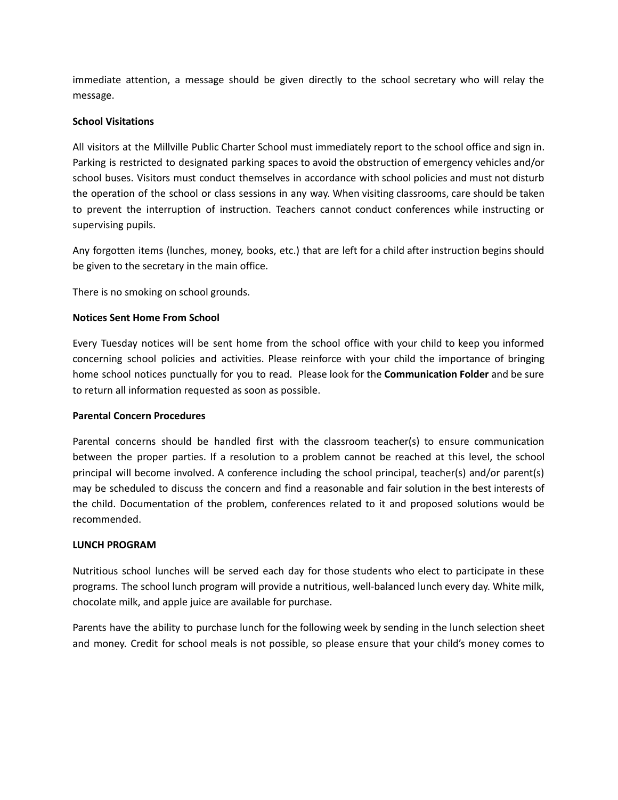immediate attention, a message should be given directly to the school secretary who will relay the message.

#### **School Visitations**

All visitors at the Millville Public Charter School must immediately report to the school office and sign in. Parking is restricted to designated parking spaces to avoid the obstruction of emergency vehicles and/or school buses. Visitors must conduct themselves in accordance with school policies and must not disturb the operation of the school or class sessions in any way. When visiting classrooms, care should be taken to prevent the interruption of instruction. Teachers cannot conduct conferences while instructing or supervising pupils.

Any forgotten items (lunches, money, books, etc.) that are left for a child after instruction begins should be given to the secretary in the main office.

There is no smoking on school grounds.

#### **Notices Sent Home From School**

Every Tuesday notices will be sent home from the school office with your child to keep you informed concerning school policies and activities. Please reinforce with your child the importance of bringing home school notices punctually for you to read. Please look for the **Communication Folder** and be sure to return all information requested as soon as possible.

#### **Parental Concern Procedures**

Parental concerns should be handled first with the classroom teacher(s) to ensure communication between the proper parties. If a resolution to a problem cannot be reached at this level, the school principal will become involved. A conference including the school principal, teacher(s) and/or parent(s) may be scheduled to discuss the concern and find a reasonable and fair solution in the best interests of the child. Documentation of the problem, conferences related to it and proposed solutions would be recommended.

#### **LUNCH PROGRAM**

Nutritious school lunches will be served each day for those students who elect to participate in these programs. The school lunch program will provide a nutritious, well-balanced lunch every day. White milk, chocolate milk, and apple juice are available for purchase.

Parents have the ability to purchase lunch for the following week by sending in the lunch selection sheet and money. Credit for school meals is not possible, so please ensure that your child's money comes to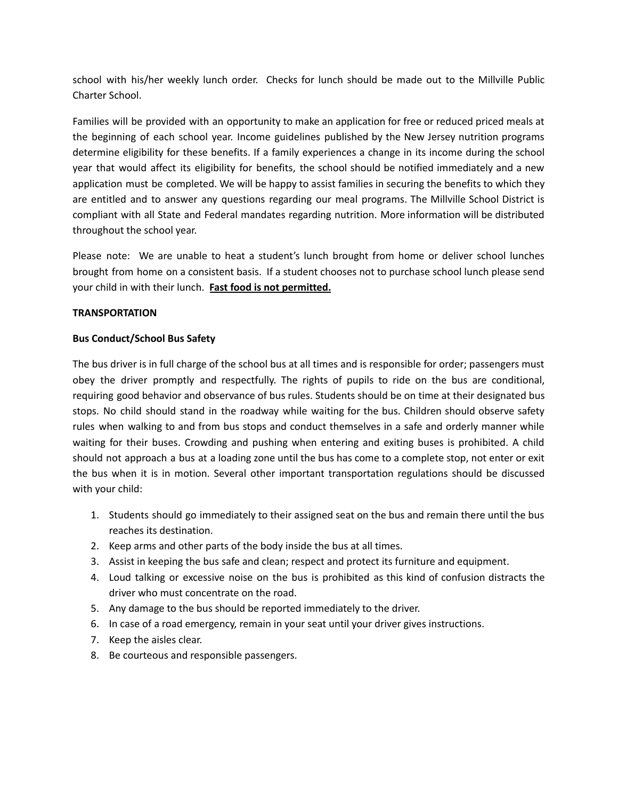school with his/her weekly lunch order. Checks for lunch should be made out to the Millville Public Charter School.

Families will be provided with an opportunity to make an application for free or reduced priced meals at the beginning of each school year. Income guidelines published by the New Jersey nutrition programs determine eligibility for these benefits. If a family experiences a change in its income during the school year that would affect its eligibility for benefits, the school should be notified immediately and a new application must be completed. We will be happy to assist families in securing the benefits to which they are entitled and to answer any questions regarding our meal programs. The Millville School District is compliant with all State and Federal mandates regarding nutrition. More information will be distributed throughout the school year.

Please note: We are unable to heat a student's lunch brought from home or deliver school lunches brought from home on a consistent basis. If a student chooses not to purchase school lunch please send your child in with their lunch. **Fast food is not permitted.**

#### **TRANSPORTATION**

#### **Bus Conduct/School Bus Safety**

The bus driver is in full charge of the school bus at all times and is responsible for order; passengers must obey the driver promptly and respectfully. The rights of pupils to ride on the bus are conditional, requiring good behavior and observance of bus rules. Students should be on time at their designated bus stops. No child should stand in the roadway while waiting for the bus. Children should observe safety rules when walking to and from bus stops and conduct themselves in a safe and orderly manner while waiting for their buses. Crowding and pushing when entering and exiting buses is prohibited. A child should not approach a bus at a loading zone until the bus has come to a complete stop, not enter or exit the bus when it is in motion. Several other important transportation regulations should be discussed with your child:

- 1. Students should go immediately to their assigned seat on the bus and remain there until the bus reaches its destination.
- 2. Keep arms and other parts of the body inside the bus at all times.
- 3. Assist in keeping the bus safe and clean; respect and protect its furniture and equipment.
- 4. Loud talking or excessive noise on the bus is prohibited as this kind of confusion distracts the driver who must concentrate on the road.
- 5. Any damage to the bus should be reported immediately to the driver.
- 6. In case of a road emergency, remain in your seat until your driver gives instructions.
- 7. Keep the aisles clear.
- 8. Be courteous and responsible passengers.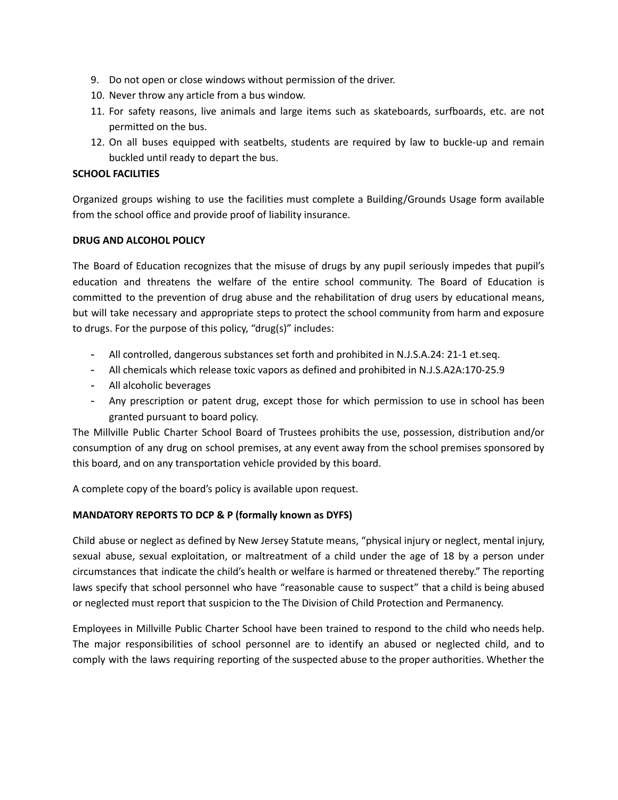- 9. Do not open or close windows without permission of the driver.
- 10. Never throw any article from a bus window.
- 11. For safety reasons, live animals and large items such as skateboards, surfboards, etc. are not permitted on the bus.
- 12. On all buses equipped with seatbelts, students are required by law to buckle-up and remain buckled until ready to depart the bus.

#### **SCHOOL FACILITIES**

Organized groups wishing to use the facilities must complete a Building/Grounds Usage form available from the school office and provide proof of liability insurance.

#### **DRUG AND ALCOHOL POLICY**

The Board of Education recognizes that the misuse of drugs by any pupil seriously impedes that pupil's education and threatens the welfare of the entire school community. The Board of Education is committed to the prevention of drug abuse and the rehabilitation of drug users by educational means, but will take necessary and appropriate steps to protect the school community from harm and exposure to drugs. For the purpose of this policy, "drug(s)" includes:

- All controlled, dangerous substances set forth and prohibited in N.J.S.A.24: 21-1 et.seq.
- All chemicals which release toxic vapors as defined and prohibited in N.J.S.A2A:170-25.9
- All alcoholic beverages
- Any prescription or patent drug, except those for which permission to use in school has been granted pursuant to board policy.

The Millville Public Charter School Board of Trustees prohibits the use, possession, distribution and/or consumption of any drug on school premises, at any event away from the school premises sponsored by this board, and on any transportation vehicle provided by this board.

A complete copy of the board's policy is available upon request.

#### **MANDATORY REPORTS TO DCP & P (formally known as DYFS)**

Child abuse or neglect as defined by New Jersey Statute means, "physical injury or neglect, mental injury, sexual abuse, sexual exploitation, or maltreatment of a child under the age of 18 by a person under circumstances that indicate the child's health or welfare is harmed or threatened thereby." The reporting laws specify that school personnel who have "reasonable cause to suspect" that a child is being abused or neglected must report that suspicion to the The Division of Child Protection and Permanency.

Employees in Millville Public Charter School have been trained to respond to the child who needs help. The major responsibilities of school personnel are to identify an abused or neglected child, and to comply with the laws requiring reporting of the suspected abuse to the proper authorities. Whether the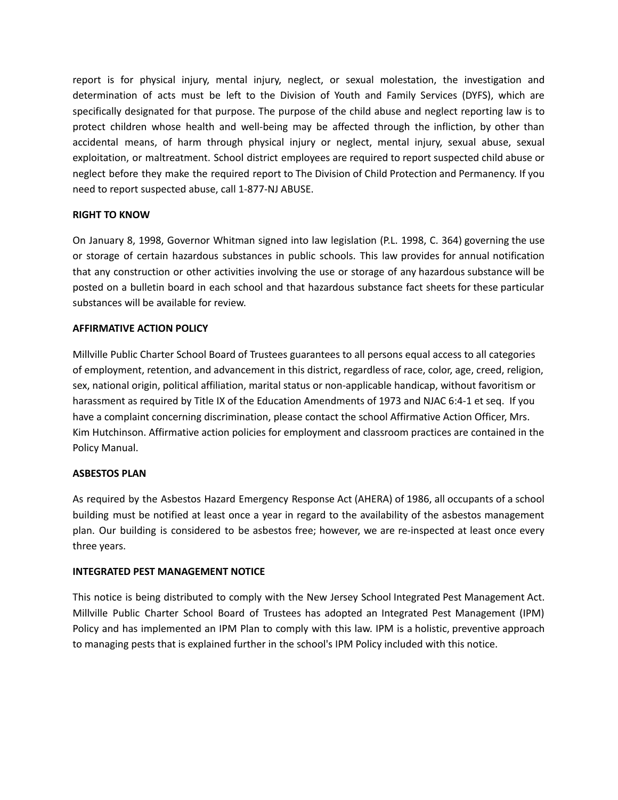report is for physical injury, mental injury, neglect, or sexual molestation, the investigation and determination of acts must be left to the Division of Youth and Family Services (DYFS), which are specifically designated for that purpose. The purpose of the child abuse and neglect reporting law is to protect children whose health and well-being may be affected through the infliction, by other than accidental means, of harm through physical injury or neglect, mental injury, sexual abuse, sexual exploitation, or maltreatment. School district employees are required to report suspected child abuse or neglect before they make the required report to The Division of Child Protection and Permanency. If you need to report suspected abuse, call 1-877-NJ ABUSE.

#### **RIGHT TO KNOW**

On January 8, 1998, Governor Whitman signed into law legislation (P.L. 1998, C. 364) governing the use or storage of certain hazardous substances in public schools. This law provides for annual notification that any construction or other activities involving the use or storage of any hazardous substance will be posted on a bulletin board in each school and that hazardous substance fact sheets for these particular substances will be available for review.

#### **AFFIRMATIVE ACTION POLICY**

Millville Public Charter School Board of Trustees guarantees to all persons equal access to all categories of employment, retention, and advancement in this district, regardless of race, color, age, creed, religion, sex, national origin, political affiliation, marital status or non-applicable handicap, without favoritism or harassment as required by Title IX of the Education Amendments of 1973 and NJAC 6:4-1 et seq. If you have a complaint concerning discrimination, please contact the school Affirmative Action Officer, Mrs. Kim Hutchinson. Affirmative action policies for employment and classroom practices are contained in the Policy Manual.

#### **ASBESTOS PLAN**

As required by the Asbestos Hazard Emergency Response Act (AHERA) of 1986, all occupants of a school building must be notified at least once a year in regard to the availability of the asbestos management plan. Our building is considered to be asbestos free; however, we are re-inspected at least once every three years.

#### **INTEGRATED PEST MANAGEMENT NOTICE**

This notice is being distributed to comply with the New Jersey School Integrated Pest Management Act. Millville Public Charter School Board of Trustees has adopted an Integrated Pest Management (IPM) Policy and has implemented an IPM Plan to comply with this law. IPM is a holistic, preventive approach to managing pests that is explained further in the school's IPM Policy included with this notice.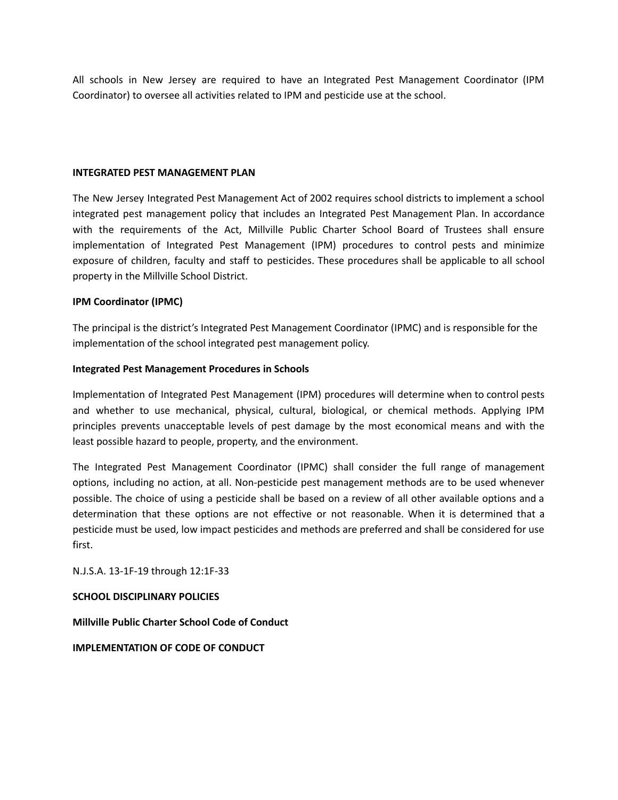All schools in New Jersey are required to have an Integrated Pest Management Coordinator (IPM Coordinator) to oversee all activities related to IPM and pesticide use at the school.

#### **INTEGRATED PEST MANAGEMENT PLAN**

The New Jersey Integrated Pest Management Act of 2002 requires school districts to implement a school integrated pest management policy that includes an Integrated Pest Management Plan. In accordance with the requirements of the Act, Millville Public Charter School Board of Trustees shall ensure implementation of Integrated Pest Management (IPM) procedures to control pests and minimize exposure of children, faculty and staff to pesticides. These procedures shall be applicable to all school property in the Millville School District.

#### **IPM Coordinator (IPMC)**

The principal is the district's Integrated Pest Management Coordinator (IPMC) and is responsible for the implementation of the school integrated pest management policy.

#### **Integrated Pest Management Procedures in Schools**

Implementation of Integrated Pest Management (IPM) procedures will determine when to control pests and whether to use mechanical, physical, cultural, biological, or chemical methods. Applying IPM principles prevents unacceptable levels of pest damage by the most economical means and with the least possible hazard to people, property, and the environment.

The Integrated Pest Management Coordinator (IPMC) shall consider the full range of management options, including no action, at all. Non-pesticide pest management methods are to be used whenever possible. The choice of using a pesticide shall be based on a review of all other available options and a determination that these options are not effective or not reasonable. When it is determined that a pesticide must be used, low impact pesticides and methods are preferred and shall be considered for use first.

N.J.S.A. 13-1F-19 through 12:1F-33

#### **SCHOOL DISCIPLINARY POLICIES**

**Millville Public Charter School Code of Conduct**

**IMPLEMENTATION OF CODE OF CONDUCT**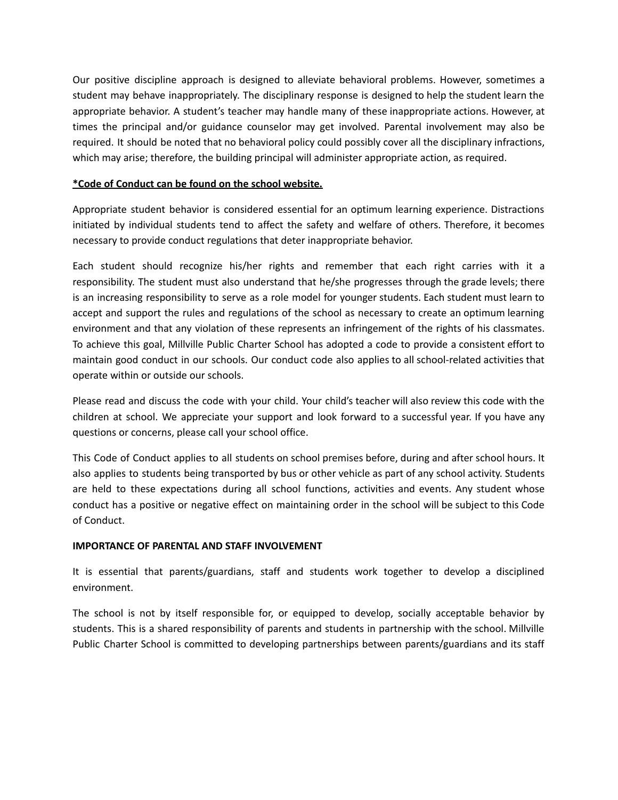Our positive discipline approach is designed to alleviate behavioral problems. However, sometimes a student may behave inappropriately. The disciplinary response is designed to help the student learn the appropriate behavior. A student's teacher may handle many of these inappropriate actions. However, at times the principal and/or guidance counselor may get involved. Parental involvement may also be required. It should be noted that no behavioral policy could possibly cover all the disciplinary infractions, which may arise; therefore, the building principal will administer appropriate action, as required.

#### **\*Code of Conduct can be found on the school website.**

Appropriate student behavior is considered essential for an optimum learning experience. Distractions initiated by individual students tend to affect the safety and welfare of others. Therefore, it becomes necessary to provide conduct regulations that deter inappropriate behavior.

Each student should recognize his/her rights and remember that each right carries with it a responsibility. The student must also understand that he/she progresses through the grade levels; there is an increasing responsibility to serve as a role model for younger students. Each student must learn to accept and support the rules and regulations of the school as necessary to create an optimum learning environment and that any violation of these represents an infringement of the rights of his classmates. To achieve this goal, Millville Public Charter School has adopted a code to provide a consistent effort to maintain good conduct in our schools. Our conduct code also applies to all school-related activities that operate within or outside our schools.

Please read and discuss the code with your child. Your child's teacher will also review this code with the children at school. We appreciate your support and look forward to a successful year. If you have any questions or concerns, please call your school office.

This Code of Conduct applies to all students on school premises before, during and after school hours. It also applies to students being transported by bus or other vehicle as part of any school activity. Students are held to these expectations during all school functions, activities and events. Any student whose conduct has a positive or negative effect on maintaining order in the school will be subject to this Code of Conduct.

#### **IMPORTANCE OF PARENTAL AND STAFF INVOLVEMENT**

It is essential that parents/guardians, staff and students work together to develop a disciplined environment.

The school is not by itself responsible for, or equipped to develop, socially acceptable behavior by students. This is a shared responsibility of parents and students in partnership with the school. Millville Public Charter School is committed to developing partnerships between parents/guardians and its staff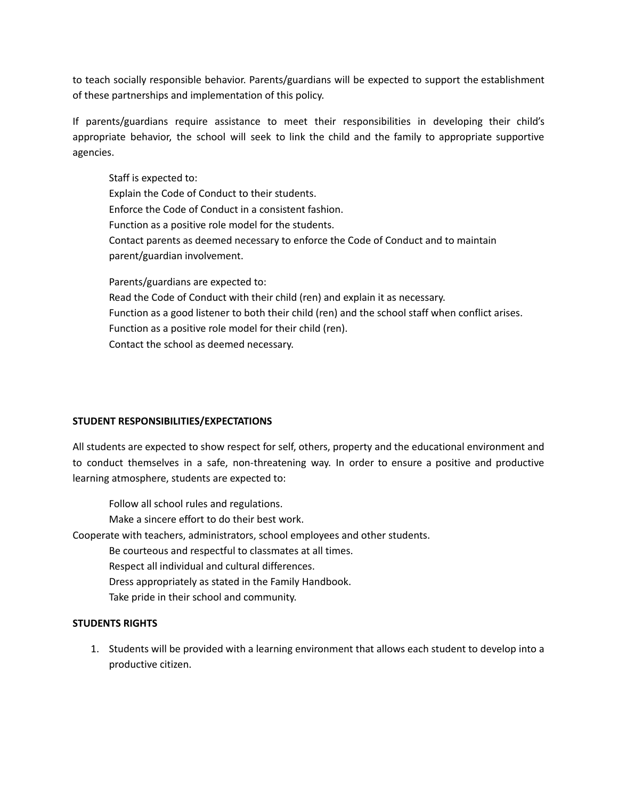to teach socially responsible behavior. Parents/guardians will be expected to support the establishment of these partnerships and implementation of this policy.

If parents/guardians require assistance to meet their responsibilities in developing their child's appropriate behavior, the school will seek to link the child and the family to appropriate supportive agencies.

Staff is expected to: Explain the Code of Conduct to their students. Enforce the Code of Conduct in a consistent fashion. Function as a positive role model for the students. Contact parents as deemed necessary to enforce the Code of Conduct and to maintain parent/guardian involvement. Parents/guardians are expected to: Read the Code of Conduct with their child (ren) and explain it as necessary.

Function as a good listener to both their child (ren) and the school staff when conflict arises. Function as a positive role model for their child (ren). Contact the school as deemed necessary.

#### **STUDENT RESPONSIBILITIES/EXPECTATIONS**

All students are expected to show respect for self, others, property and the educational environment and to conduct themselves in a safe, non-threatening way. In order to ensure a positive and productive learning atmosphere, students are expected to:

Follow all school rules and regulations. Make a sincere effort to do their best work. Cooperate with teachers, administrators, school employees and other students. Be courteous and respectful to classmates at all times. Respect all individual and cultural differences.

Dress appropriately as stated in the Family Handbook.

Take pride in their school and community.

#### **STUDENTS RIGHTS**

1. Students will be provided with a learning environment that allows each student to develop into a productive citizen.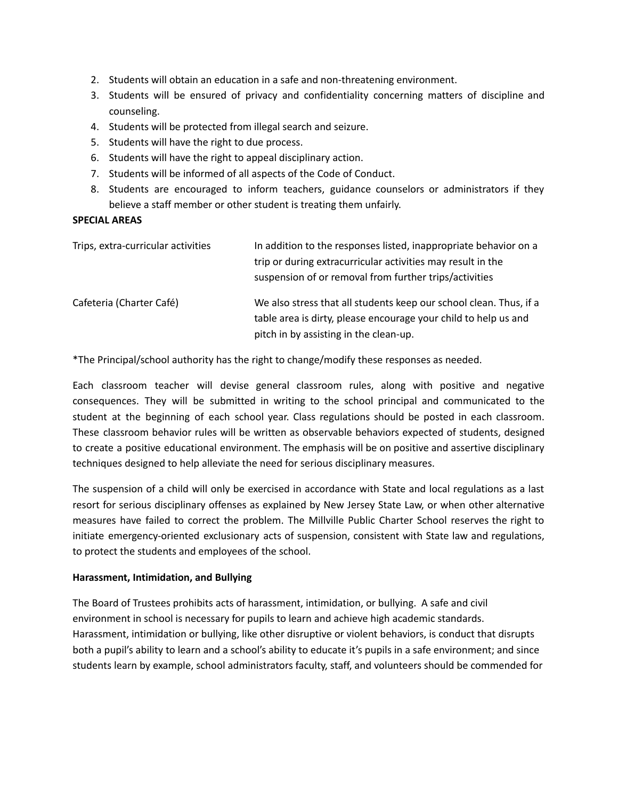- 2. Students will obtain an education in a safe and non-threatening environment.
- 3. Students will be ensured of privacy and confidentiality concerning matters of discipline and counseling.
- 4. Students will be protected from illegal search and seizure.
- 5. Students will have the right to due process.
- 6. Students will have the right to appeal disciplinary action.
- 7. Students will be informed of all aspects of the Code of Conduct.
- 8. Students are encouraged to inform teachers, guidance counselors or administrators if they believe a staff member or other student is treating them unfairly.

#### **SPECIAL AREAS**

| Trips, extra-curricular activities | In addition to the responses listed, inappropriate behavior on a<br>trip or during extracurricular activities may result in the<br>suspension of or removal from further trips/activities |
|------------------------------------|-------------------------------------------------------------------------------------------------------------------------------------------------------------------------------------------|
| Cafeteria (Charter Café)           | We also stress that all students keep our school clean. Thus, if a<br>table area is dirty, please encourage your child to help us and<br>pitch in by assisting in the clean-up.           |

\*The Principal/school authority has the right to change/modify these responses as needed.

Each classroom teacher will devise general classroom rules, along with positive and negative consequences. They will be submitted in writing to the school principal and communicated to the student at the beginning of each school year. Class regulations should be posted in each classroom. These classroom behavior rules will be written as observable behaviors expected of students, designed to create a positive educational environment. The emphasis will be on positive and assertive disciplinary techniques designed to help alleviate the need for serious disciplinary measures.

The suspension of a child will only be exercised in accordance with State and local regulations as a last resort for serious disciplinary offenses as explained by New Jersey State Law, or when other alternative measures have failed to correct the problem. The Millville Public Charter School reserves the right to initiate emergency-oriented exclusionary acts of suspension, consistent with State law and regulations, to protect the students and employees of the school.

#### **Harassment, Intimidation, and Bullying**

The Board of Trustees prohibits acts of harassment, intimidation, or bullying. A safe and civil environment in school is necessary for pupils to learn and achieve high academic standards. Harassment, intimidation or bullying, like other disruptive or violent behaviors, is conduct that disrupts both a pupil's ability to learn and a school's ability to educate it's pupils in a safe environment; and since students learn by example, school administrators faculty, staff, and volunteers should be commended for